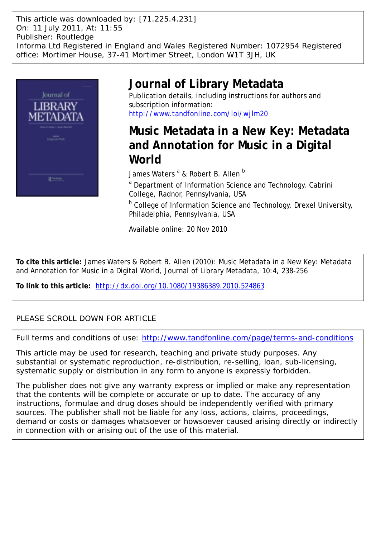This article was downloaded by: [71.225.4.231] On: 11 July 2011, At: 11:55 Publisher: Routledge Informa Ltd Registered in England and Wales Registered Number: 1072954 Registered office: Mortimer House, 37-41 Mortimer Street, London W1T 3JH, UK



# **Journal of Library Metadata**

Publication details, including instructions for authors and subscription information: <http://www.tandfonline.com/loi/wjlm20>

**Music Metadata in a New Key: Metadata and Annotation for Music in a Digital World**

James Waters <sup>a</sup> & Robert B. Allen <sup>b</sup>

<sup>a</sup> Department of Information Science and Technology, Cabrini College, Radnor, Pennsylvania, USA

**b** College of Information Science and Technology, Drexel University, Philadelphia, Pennsylvania, USA

Available online: 20 Nov 2010

**To cite this article:** James Waters & Robert B. Allen (2010): Music Metadata in a New Key: Metadata and Annotation for Music in a Digital World, Journal of Library Metadata, 10:4, 238-256

**To link to this article:** <http://dx.doi.org/10.1080/19386389.2010.524863>

# PI FASE SCROLL DOWN FOR ARTICLE

Full terms and conditions of use:<http://www.tandfonline.com/page/terms-and-conditions>

This article may be used for research, teaching and private study purposes. Any substantial or systematic reproduction, re-distribution, re-selling, loan, sub-licensing, systematic supply or distribution in any form to anyone is expressly forbidden.

The publisher does not give any warranty express or implied or make any representation that the contents will be complete or accurate or up to date. The accuracy of any instructions, formulae and drug doses should be independently verified with primary sources. The publisher shall not be liable for any loss, actions, claims, proceedings, demand or costs or damages whatsoever or howsoever caused arising directly or indirectly in connection with or arising out of the use of this material.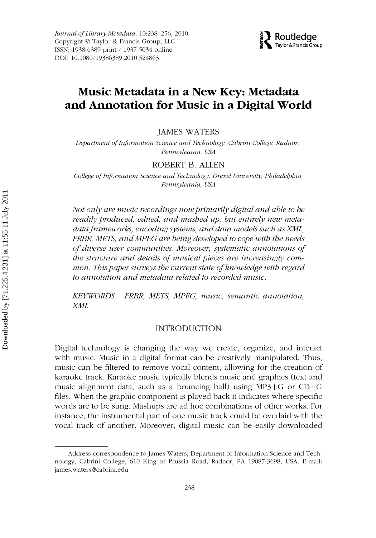*Journal of Library Metadata*, 10:238–256, 2010 Copyright © Taylor & Francis Group, LLC ISSN: 1938-6389 print / 1937-5034 online DOI: 10.1080/19386389.2010.524863



# **Music Metadata in a New Key: Metadata and Annotation for Music in a Digital World**

JAMES WATERS

*Department of Information Science and Technology, Cabrini College, Radnor, Pennsylvania, USA*

#### ROBERT B. ALLEN

*College of Information Science and Technology, Drexel University, Philadelphia, Pennsylvania, USA*

*Not only are music recordings now primarily digital and able to be readily produced, edited, and mashed up, but entirely new metadata frameworks, encoding systems, and data models such as XML, FRBR, METS, and MPEG are being developed to cope with the needs of diverse user communities. Moreover, systematic annotations of the structure and details of musical pieces are increasingly common. This paper surveys the current state of knowledge with regard to annotation and metadata related to recorded music.*

*KEYWORDS FRBR, METS, MPEG, music, semantic annotation, XML*

### INTRODUCTION

Digital technology is changing the way we create, organize, and interact with music. Music in a digital format can be creatively manipulated. Thus, music can be filtered to remove vocal content, allowing for the creation of karaoke track. Karaoke music typically blends music and graphics (text and music alignment data, such as a bouncing ball) using MP3+G or CD+G files. When the graphic component is played back it indicates where specific words are to be sung. Mashups are ad hoc combinations of other works. For instance, the instrumental part of one music track could be overlaid with the vocal track of another. Moreover, digital music can be easily downloaded

Address correspondence to James Waters, Department of Information Science and Technology, Cabrini College, 610 King of Prussia Road, Radnor, PA 19087-3698, USA. E-mail: james.waters@cabrini.edu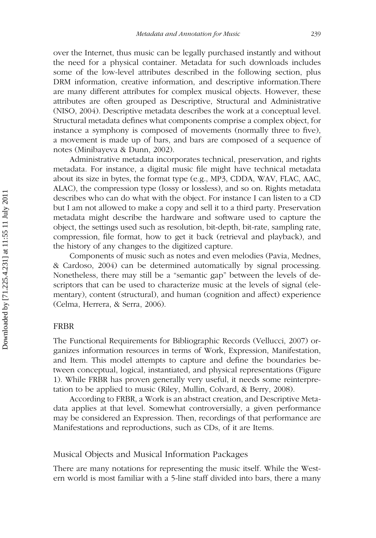over the Internet, thus music can be legally purchased instantly and without the need for a physical container. Metadata for such downloads includes some of the low-level attributes described in the following section, plus DRM information, creative information, and descriptive information.There are many different attributes for complex musical objects. However, these attributes are often grouped as Descriptive, Structural and Administrative (NISO, 2004). Descriptive metadata describes the work at a conceptual level. Structural metadata defines what components comprise a complex object, for instance a symphony is composed of movements (normally three to five), a movement is made up of bars, and bars are composed of a sequence of notes (Minibayeva & Dunn, 2002).

Administrative metadata incorporates technical, preservation, and rights metadata. For instance, a digital music file might have technical metadata about its size in bytes, the format type (e.g., MP3, CDDA, WAV, FLAC, AAC, ALAC), the compression type (lossy or lossless), and so on. Rights metadata describes who can do what with the object. For instance I can listen to a CD but I am not allowed to make a copy and sell it to a third party. Preservation metadata might describe the hardware and software used to capture the object, the settings used such as resolution, bit-depth, bit-rate, sampling rate, compression, file format, how to get it back (retrieval and playback), and the history of any changes to the digitized capture.

Components of music such as notes and even melodies (Pavia, Mednes, & Cardoso, 2004) can be determined automatically by signal processing. Nonetheless, there may still be a "semantic gap" between the levels of descriptors that can be used to characterize music at the levels of signal (elementary), content (structural), and human (cognition and affect) experience (Celma, Herrera, & Serra, 2006).

#### FRBR

The Functional Requirements for Bibliographic Records (Vellucci, 2007) organizes information resources in terms of Work, Expression, Manifestation, and Item. This model attempts to capture and define the boundaries between conceptual, logical, instantiated, and physical representations (Figure 1). While FRBR has proven generally very useful, it needs some reinterpretation to be applied to music (Riley, Mullin, Colvard, & Berry, 2008).

According to FRBR, a Work is an abstract creation, and Descriptive Metadata applies at that level. Somewhat controversially, a given performance may be considered an Expression. Then, recordings of that performance are Manifestations and reproductions, such as CDs, of it are Items.

Musical Objects and Musical Information Packages

There are many notations for representing the music itself. While the Western world is most familiar with a 5-line staff divided into bars, there a many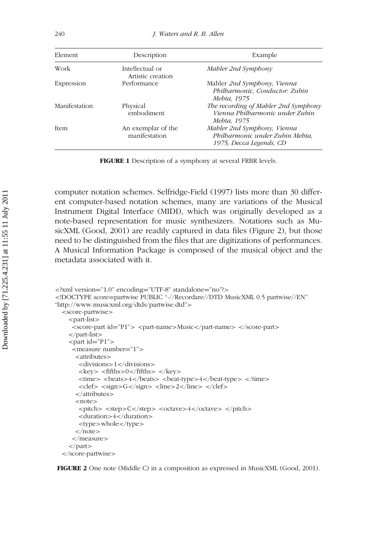| Element                                     | Description                          | Example                                                                                   |  |  |  |
|---------------------------------------------|--------------------------------------|-------------------------------------------------------------------------------------------|--|--|--|
| Work                                        | Intellectual or<br>Artistic creation | Mahler 2nd Symphony                                                                       |  |  |  |
| Expression                                  | Performance                          | Mahler 2nd Symphony, Vienna<br>Philbarmonic, Conductor: Zubin<br>Mehta, 1975              |  |  |  |
| Manifestation                               | Physical<br>embodiment               | The recording of Mahler 2nd Symphony<br>Vienna Philharmonic under Zubin<br>Mehta, 1975    |  |  |  |
| An exemplar of the<br>Item<br>manifestation |                                      | Mabler 2nd Symphony, Vienna<br>Philbarmonic under Zubin Mehta,<br>1975, Decca Legends, CD |  |  |  |

**FIGURE 1** Description of a symphony at several FRBR levels.

computer notation schemes. Selfridge-Field (1997) lists more than 30 different computer-based notation schemes, many are variations of the Musical Instrument Digital Interface (MIDI), which was originally developed as a note-based representation for music synthesizers. Notations such as MusicXML (Good, 2001) are readily captured in data files (Figure 2), but those need to be distinguished from the files that are digitizations of performances. A Musical Information Package is composed of the musical object and the metadata associated with it.

```
<?xml version="1.0" encoding="UTF-8" standalone="no"?>
<!DOCTYPE score=partwise PUBLIC "-//Recordare//DTD MusicXML 0.5 partwise//EN"
"http://www.musicxml.org/dtds/partwise.dtd">
  <score-partwise>
     <part-list>
      <score-part id="P1"> <part-name>Music</part-name> </score-part>
     </part-list>
     \epsilon <part id="P1">
      <measure number="1">
        <attributes>
         <divisions>1</divisions>
         \langlekey> \langlefifths>0\langle/fifths> \langlekey>
         <time> <beats>4</beats> <beat-type>4</beat-type> </time>
         \langle <clef>\langle <sign>G</sign>\langleline>2</line>\langleclef>
        </attributes>
        <note>\langle \text{pitch}\rangle \langle \text{step}\rangle - C \langle \text{step}\rangle \langle \text{octave}\rangle + C \langle \text{octave}\rangle \langle \text{pitch}\rangle<duration>4</duration>
         <type>whole</type>
        \langlenote></measure>
     </part>
  </score-partwise>
```
**FIGURE 2** One note (Middle C) in a composition as expressed in MusicXML (Good, 2001).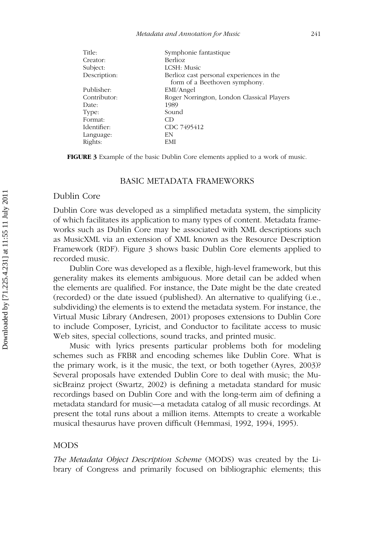| Symphonie fantastique                      |
|--------------------------------------------|
| <b>Berlioz</b>                             |
| LCSH: Music                                |
| Berlioz cast personal experiences in the   |
| form of a Beethoven symphony.              |
| EMI/Angel                                  |
| Roger Norrington, London Classical Players |
| 1989                                       |
| Sound                                      |
| CD                                         |
| CDC 7495412                                |
| EN                                         |
| EMI                                        |
|                                            |

**FIGURE 3** Example of the basic Dublin Core elements applied to a work of music.

#### BASIC METADATA FRAMEWORKS

#### Dublin Core

Dublin Core was developed as a simplified metadata system, the simplicity of which facilitates its application to many types of content. Metadata frameworks such as Dublin Core may be associated with XML descriptions such as MusicXML via an extension of XML known as the Resource Description Framework (RDF). Figure 3 shows basic Dublin Core elements applied to recorded music.

Dublin Core was developed as a flexible, high-level framework, but this generality makes its elements ambiguous. More detail can be added when the elements are qualified. For instance, the Date might be the date created (recorded) or the date issued (published). An alternative to qualifying (i.e., subdividing) the elements is to extend the metadata system. For instance, the Virtual Music Library (Andresen, 2001) proposes extensions to Dublin Core to include Composer, Lyricist, and Conductor to facilitate access to music Web sites, special collections, sound tracks, and printed music.

Music with lyrics presents particular problems both for modeling schemes such as FRBR and encoding schemes like Dublin Core. What is the primary work, is it the music, the text, or both together (Ayres, 2003)? Several proposals have extended Dublin Core to deal with music; the MusicBrainz project (Swartz, 2002) is defining a metadata standard for music recordings based on Dublin Core and with the long-term aim of defining a metadata standard for music—a metadata catalog of all music recordings. At present the total runs about a million items. Attempts to create a workable musical thesaurus have proven difficult (Hemmasi, 1992, 1994, 1995).

#### MODS

*The Metadata Object Description Scheme* (MODS) was created by the Library of Congress and primarily focused on bibliographic elements; this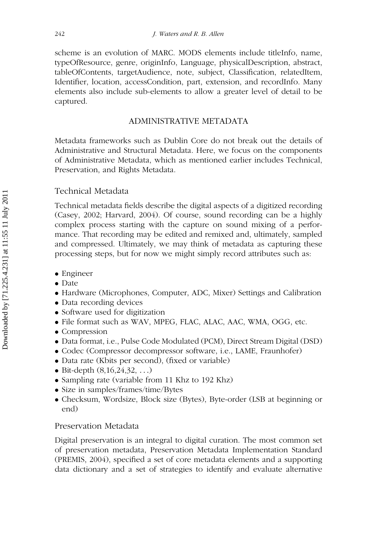scheme is an evolution of MARC. MODS elements include titleInfo, name, typeOfResource, genre, originInfo, Language, physicalDescription, abstract, tableOfContents, targetAudience, note, subject, Classification, relatedItem, Identifier, location, accessCondition, part, extension, and recordInfo. Many elements also include sub-elements to allow a greater level of detail to be captured.

## ADMINISTRATIVE METADATA

Metadata frameworks such as Dublin Core do not break out the details of Administrative and Structural Metadata. Here, we focus on the components of Administrative Metadata, which as mentioned earlier includes Technical, Preservation, and Rights Metadata.

# Technical Metadata

Technical metadata fields describe the digital aspects of a digitized recording (Casey, 2002; Harvard, 2004). Of course, sound recording can be a highly complex process starting with the capture on sound mixing of a performance. That recording may be edited and remixed and, ultimately, sampled and compressed. Ultimately, we may think of metadata as capturing these processing steps, but for now we might simply record attributes such as:

- Engineer
- Date
- Hardware (Microphones, Computer, ADC, Mixer) Settings and Calibration
- Data recording devices
- Software used for digitization
- File format such as WAV, MPEG, FLAC, ALAC, AAC, WMA, OGG, etc.
- Compression
- Data format, i.e., Pulse Code Modulated (PCM), Direct Stream Digital (DSD)
- Codec (Compressor decompressor software, i.e., LAME, Fraunhofer)
- Data rate (Kbits per second), (fixed or variable)
- Bit-depth  $(8,16,24,32,...)$
- Sampling rate (variable from 11 Khz to 192 Khz)
- Size in samples/frames/time/Bytes
- Checksum, Wordsize, Block size (Bytes), Byte-order (LSB at beginning or end)

## Preservation Metadata

Digital preservation is an integral to digital curation. The most common set of preservation metadata, Preservation Metadata Implementation Standard (PREMIS, 2004), specified a set of core metadata elements and a supporting data dictionary and a set of strategies to identify and evaluate alternative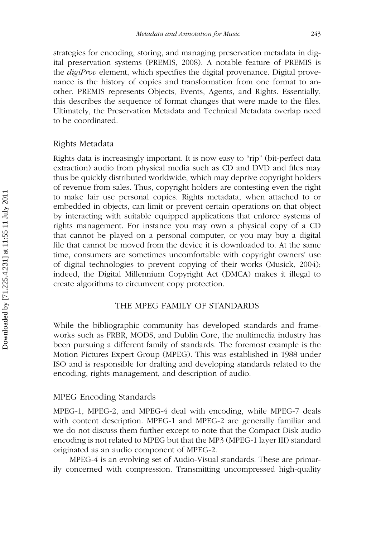strategies for encoding, storing, and managing preservation metadata in digital preservation systems (PREMIS, 2008). A notable feature of PREMIS is the *digiProv* element, which specifies the digital provenance. Digital provenance is the history of copies and transformation from one format to another. PREMIS represents Objects, Events, Agents, and Rights. Essentially, this describes the sequence of format changes that were made to the files. Ultimately, the Preservation Metadata and Technical Metadata overlap need to be coordinated.

#### Rights Metadata

Rights data is increasingly important. It is now easy to "rip" (bit-perfect data extraction) audio from physical media such as CD and DVD and files may thus be quickly distributed worldwide, which may deprive copyright holders of revenue from sales. Thus, copyright holders are contesting even the right to make fair use personal copies. Rights metadata, when attached to or embedded in objects, can limit or prevent certain operations on that object by interacting with suitable equipped applications that enforce systems of rights management. For instance you may own a physical copy of a CD that cannot be played on a personal computer, or you may buy a digital file that cannot be moved from the device it is downloaded to. At the same time, consumers are sometimes uncomfortable with copyright owners' use of digital technologies to prevent copying of their works (Musick, 2004); indeed, the Digital Millennium Copyright Act (DMCA) makes it illegal to create algorithms to circumvent copy protection.

#### THE MPEG FAMILY OF STANDARDS

While the bibliographic community has developed standards and frameworks such as FRBR, MODS, and Dublin Core, the multimedia industry has been pursuing a different family of standards. The foremost example is the Motion Pictures Expert Group (MPEG). This was established in 1988 under ISO and is responsible for drafting and developing standards related to the encoding, rights management, and description of audio.

#### MPEG Encoding Standards

MPEG-1, MPEG-2, and MPEG-4 deal with encoding, while MPEG-7 deals with content description. MPEG-1 and MPEG-2 are generally familiar and we do not discuss them further except to note that the Compact Disk audio encoding is not related to MPEG but that the MP3 (MPEG-1 layer III) standard originated as an audio component of MPEG-2.

MPEG-4 is an evolving set of Audio-Visual standards. These are primarily concerned with compression. Transmitting uncompressed high-quality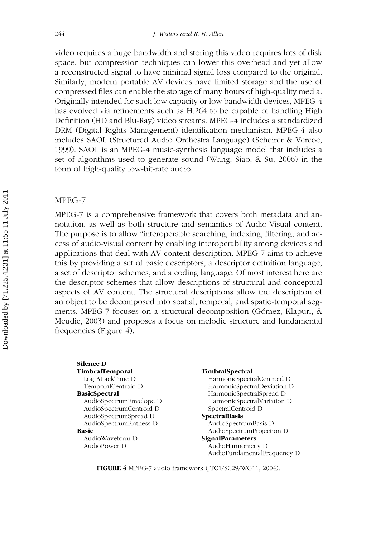video requires a huge bandwidth and storing this video requires lots of disk space, but compression techniques can lower this overhead and yet allow a reconstructed signal to have minimal signal loss compared to the original. Similarly, modern portable AV devices have limited storage and the use of compressed files can enable the storage of many hours of high-quality media. Originally intended for such low capacity or low bandwidth devices, MPEG-4 has evolved via refinements such as H.264 to be capable of handling High Definition (HD and Blu-Ray) video streams. MPEG-4 includes a standardized DRM (Digital Rights Management) identification mechanism. MPEG-4 also includes SAOL (Structured Audio Orchestra Language) (Scheirer & Vercoe, 1999). SAOL is an MPEG-4 music-synthesis language model that includes a set of algorithms used to generate sound (Wang, Siao, & Su, 2006) in the form of high-quality low-bit-rate audio.

#### MPEG-7

MPEG-7 is a comprehensive framework that covers both metadata and annotation, as well as both structure and semantics of Audio-Visual content. The purpose is to allow "interoperable searching, indexing, filtering, and access of audio-visual content by enabling interoperability among devices and applications that deal with AV content description. MPEG-7 aims to achieve this by providing a set of basic descriptors, a descriptor definition language, a set of descriptor schemes, and a coding language. Of most interest here are the descriptor schemes that allow descriptions of structural and conceptual aspects of AV content. The structural descriptions allow the description of an object to be decomposed into spatial, temporal, and spatio-temporal segments. MPEG-7 focuses on a structural decomposition (Gómez, Klapuri, & Meudic, 2003) and proposes a focus on melodic structure and fundamental frequencies (Figure 4).

**Silence D TimbralTemporal TimbralSpectral BasicSpectral** HarmonicSpectralSpread D AudioSpectrumCentroid D<br>AudioSpectrumSpread D<br>**SpectralBasis** AudioSpectrumSpread D **SpectralBasis** AudioSpectrumFlatness D AudioSpectrumBasis D **Basic** AudioSpectrumProjection D AudioWaveform D **SignalParameters**<br>AudioPower D AudioHarmonicit

Log AttackTime D HarmonicSpectralCentroid D TemporalCentroid D HarmonicSpectralDeviation D AudioSpectrumEnvelope D HarmonicSpectralVariation D AudioHarmonicity D AudioFundamentalFrequency D

**FIGURE 4** MPEG-7 audio framework (JTC1/SC29/WG11, 2004).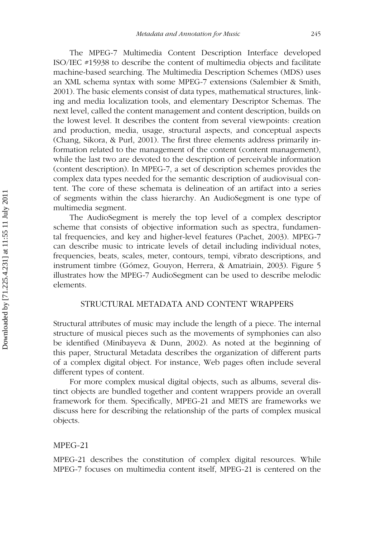The MPEG-7 Multimedia Content Description Interface developed ISO/IEC #15938 to describe the content of multimedia objects and facilitate machine-based searching. The Multimedia Description Schemes (MDS) uses an XML schema syntax with some MPEG-7 extensions (Salembier & Smith, 2001). The basic elements consist of data types, mathematical structures, linking and media localization tools, and elementary Descriptor Schemas. The next level, called the content management and content description, builds on the lowest level. It describes the content from several viewpoints: creation and production, media, usage, structural aspects, and conceptual aspects (Chang, Sikora, & Purl, 2001). The first three elements address primarily information related to the management of the content (content management), while the last two are devoted to the description of perceivable information (content description). In MPEG-7, a set of description schemes provides the complex data types needed for the semantic description of audiovisual content. The core of these schemata is delineation of an artifact into a series of segments within the class hierarchy. An AudioSegment is one type of multimedia segment.

The AudioSegment is merely the top level of a complex descriptor scheme that consists of objective information such as spectra, fundamental frequencies, and key and higher-level features (Pachet, 2003). MPEG-7 can describe music to intricate levels of detail including individual notes, frequencies, beats, scales, meter, contours, tempi, vibrato descriptions, and instrument timbre (Gómez, Gouyon, Herrera, & Amatriain, 2003). Figure 5 illustrates how the MPEG-7 AudioSegment can be used to describe melodic elements.

#### STRUCTURAL METADATA AND CONTENT WRAPPERS

Structural attributes of music may include the length of a piece. The internal structure of musical pieces such as the movements of symphonies can also be identified (Minibayeva & Dunn, 2002). As noted at the beginning of this paper, Structural Metadata describes the organization of different parts of a complex digital object. For instance, Web pages often include several different types of content.

For more complex musical digital objects, such as albums, several distinct objects are bundled together and content wrappers provide an overall framework for them. Specifically, MPEG-21 and METS are frameworks we discuss here for describing the relationship of the parts of complex musical objects.

#### MPEG-21

MPEG-21 describes the constitution of complex digital resources. While MPEG-7 focuses on multimedia content itself, MPEG-21 is centered on the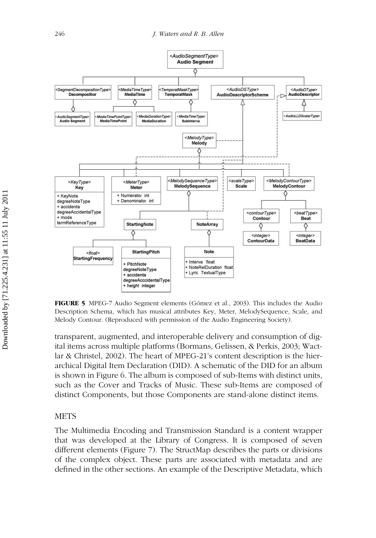

FIGURE 5 MPEG-7 Audio Segment elements (Gómez et al., 2003). This includes the Audio Description Schema, which has musical attributes Key, Meter, MelodySequence, Scale, and Melody Contour. (Reproduced with permission of the Audio Engineering Society).

transparent, augmented, and interoperable delivery and consumption of digital items across multiple platforms (Bormans, Gelissen, & Perkis, 2003; Wactlar & Christel, 2002). The heart of MPEG-21's content description is the hierarchical Digital Item Declaration (DID). A schematic of the DID for an album is shown in Figure 6. The album is composed of sub-Items with distinct units, such as the Cover and Tracks of Music. These sub-Items are composed of distinct Components, but those Components are stand-alone distinct items.

#### METS

The Multimedia Encoding and Transmission Standard is a content wrapper that was developed at the Library of Congress. It is composed of seven different elements (Figure 7). The StructMap describes the parts or divisions of the complex object. These parts are associated with metadata and are defined in the other sections. An example of the Descriptive Metadata, which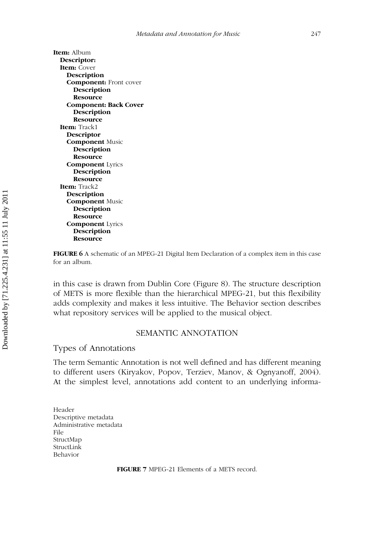**Item:** Album **Descriptor: Item:** Cover **Description Component:** Front cover **Description Resource Component: Back Cover Description Resource Item:** Track1 **Descriptor Component** Music **Description Resource Component** Lyrics **Description Resource Item:** Track2 **Description Component** Music **Description Resource Component** Lyrics **Description Resource**

**FIGURE 6** A schematic of an MPEG-21 Digital Item Declaration of a complex item in this case for an album.

in this case is drawn from Dublin Core (Figure 8). The structure description of METS is more flexible than the hierarchical MPEG-21, but this flexibility adds complexity and makes it less intuitive. The Behavior section describes what repository services will be applied to the musical object.

### SEMANTIC ANNOTATION

Types of Annotations

The term Semantic Annotation is not well defined and has different meaning to different users (Kiryakov, Popov, Terziev, Manov, & Ognyanoff, 2004). At the simplest level, annotations add content to an underlying informa-

Header Descriptive metadata Administrative metadata File StructMap StructLink Behavior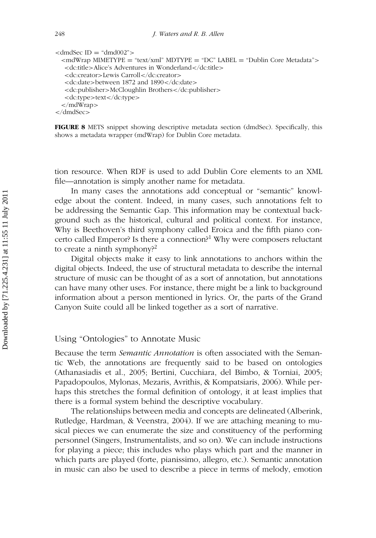```
\langle dmdSec ID = "dmd002">\epsilonmdWrap MIMETYPE = "text/xml" MDTYPE = "DC" LABEL = "Dublin Core Metadata">
  <dc:title>Alice's Adventures in Wonderland</dc:title>
  <dc:creator>Lewis Carroll</dc:creator>
  <dc:date>between 1872 and 1890</dc:date>
  <dc:publisher>McCloughlin Brothers</dc:publisher>
  <dc:type>text</dc:type>
 </mdWrap>
</dmdSec>
```
**FIGURE 8** METS snippet showing descriptive metadata section (dmdSec). Specifically, this shows a metadata wrapper (mdWrap) for Dublin Core metadata.

tion resource. When RDF is used to add Dublin Core elements to an XML file—annotation is simply another name for metadata.

In many cases the annotations add conceptual or "semantic" knowledge about the content. Indeed, in many cases, such annotations felt to be addressing the Semantic Gap. This information may be contextual background such as the historical, cultural and political context. For instance, Why is Beethoven's third symphony called Eroica and the fifth piano concerto called Emperor? Is there a connection?<sup>1</sup> Why were composers reluctant to create a ninth symphony?<sup>2</sup>

Digital objects make it easy to link annotations to anchors within the digital objects. Indeed, the use of structural metadata to describe the internal structure of music can be thought of as a sort of annotation, but annotations can have many other uses. For instance, there might be a link to background information about a person mentioned in lyrics. Or, the parts of the Grand Canyon Suite could all be linked together as a sort of narrative.

#### Using "Ontologies" to Annotate Music

Because the term *Semantic Annotation* is often associated with the Semantic Web, the annotations are frequently said to be based on ontologies (Athanasiadis et al., 2005; Bertini, Cucchiara, del Bimbo, & Torniai, 2005; Papadopoulos, Mylonas, Mezaris, Avrithis, & Kompatsiaris, 2006). While perhaps this stretches the formal definition of ontology, it at least implies that there is a formal system behind the descriptive vocabulary.

The relationships between media and concepts are delineated (Alberink, Rutledge, Hardman, & Veenstra, 2004). If we are attaching meaning to musical pieces we can enumerate the size and constituency of the performing personnel (Singers, Instrumentalists, and so on). We can include instructions for playing a piece; this includes who plays which part and the manner in which parts are played (forte, pianissimo, allegro, etc.). Semantic annotation in music can also be used to describe a piece in terms of melody, emotion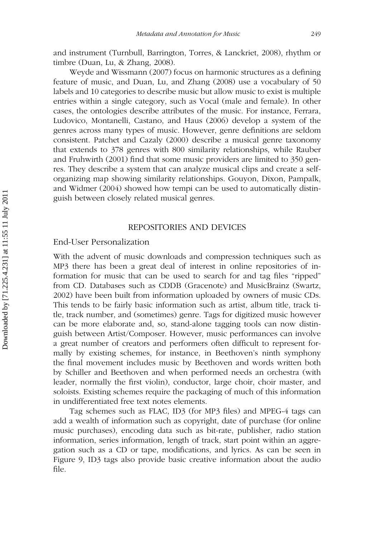and instrument (Turnbull, Barrington, Torres, & Lanckriet, 2008), rhythm or timbre (Duan, Lu, & Zhang, 2008).

Weyde and Wissmann (2007) focus on harmonic structures as a defining feature of music, and Duan, Lu, and Zhang (2008) use a vocabulary of 50 labels and 10 categories to describe music but allow music to exist is multiple entries within a single category, such as Vocal (male and female). In other cases, the ontologies describe attributes of the music. For instance, Ferrara, Ludovico, Montanelli, Castano, and Haus (2006) develop a system of the genres across many types of music. However, genre definitions are seldom consistent. Patchet and Cazaly (2000) describe a musical genre taxonomy that extends to 378 genres with 800 similarity relationships, while Rauber and Fruhwirth (2001) find that some music providers are limited to 350 genres. They describe a system that can analyze musical clips and create a selforganizing map showing similarity relationships. Gouyon, Dixon, Pampalk, and Widmer (2004) showed how tempi can be used to automatically distinguish between closely related musical genres.

#### REPOSITORIES AND DEVICES

#### End-User Personalization

With the advent of music downloads and compression techniques such as MP3 there has been a great deal of interest in online repositories of information for music that can be used to search for and tag files "ripped" from CD. Databases such as CDDB (Gracenote) and MusicBrainz (Swartz, 2002) have been built from information uploaded by owners of music CDs. This tends to be fairly basic information such as artist, album title, track title, track number, and (sometimes) genre. Tags for digitized music however can be more elaborate and, so, stand-alone tagging tools can now distinguish between Artist/Composer. However, music performances can involve a great number of creators and performers often difficult to represent formally by existing schemes, for instance, in Beethoven's ninth symphony the final movement includes music by Beethoven and words written both by Schiller and Beethoven and when performed needs an orchestra (with leader, normally the first violin), conductor, large choir, choir master, and soloists. Existing schemes require the packaging of much of this information in undifferentiated free text notes elements.

Tag schemes such as FLAC, ID3 (for MP3 files) and MPEG-4 tags can add a wealth of information such as copyright, date of purchase (for online music purchases), encoding data such as bit-rate, publisher, radio station information, series information, length of track, start point within an aggregation such as a CD or tape, modifications, and lyrics. As can be seen in Figure 9, ID3 tags also provide basic creative information about the audio file.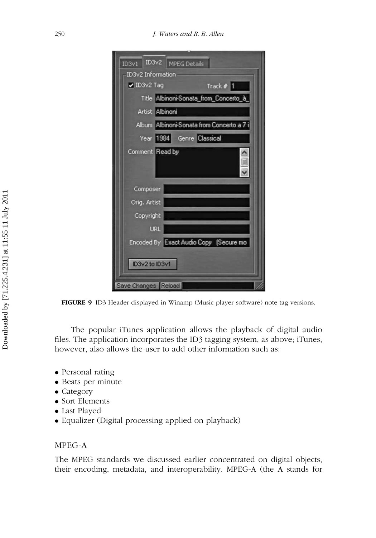| ID3v1 | ID3v2   MPEG Details<br><b>ID3v2 Information</b> |
|-------|--------------------------------------------------|
|       | V ID3v2 Tag<br>Track $\#$ 1                      |
|       | Title Albinoni-Sonata_from_Concerto_à_           |
|       | Artist Albinoni                                  |
|       | Album Albinoni-Sonata from Concerto a 7 i        |
|       | Year 1984 Genre Classical                        |
|       | Comment Read by                                  |
|       | Composer                                         |
|       | Orig. Artist                                     |
|       | Copyright                                        |
|       | <b>URL</b>                                       |
|       | Encoded By Exact Audio Copy (Secure mo           |
|       | ID3v2 to ID3v1                                   |

**FIGURE 9** ID3 Header displayed in Winamp (Music player software) note tag versions.

The popular iTunes application allows the playback of digital audio files. The application incorporates the ID3 tagging system, as above; iTunes, however, also allows the user to add other information such as:

- Personal rating
- Beats per minute
- Category
- Sort Elements
- Last Played
- Equalizer (Digital processing applied on playback)

#### MPEG-A

The MPEG standards we discussed earlier concentrated on digital objects, their encoding, metadata, and interoperability. MPEG-A (the A stands for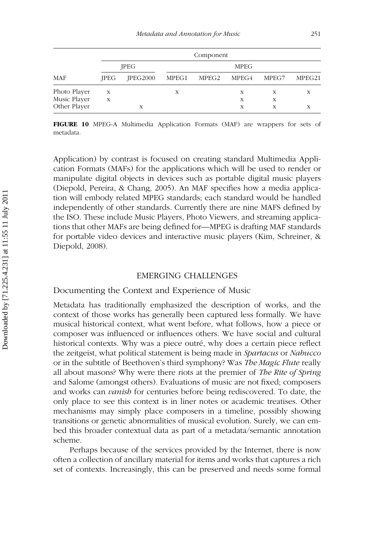| <b>MAF</b>   | Component   |          |             |       |             |       |        |  |  |
|--------------|-------------|----------|-------------|-------|-------------|-------|--------|--|--|
|              | <b>IPEG</b> |          | <b>MPEG</b> |       |             |       |        |  |  |
|              | <b>IPEG</b> | JPEG2000 | MPEG1       | MPEG2 | MPEG4       | MPEG7 | MPEG21 |  |  |
| Photo Player | X           |          | X           |       | X           | X     | Х      |  |  |
| Music Player | X           |          |             |       | $\mathbf x$ | X     |        |  |  |
| Other Player |             | x        |             |       | Х           | X     |        |  |  |

**FIGURE 10** MPEG-A Multimedia Application Formats (MAF) are wrappers for sets of metadata.

Application) by contrast is focused on creating standard Multimedia Application Formats (MAFs) for the applications which will be used to render or manipulate digital objects in devices such as portable digital music players (Diepold, Pereira, & Chang, 2005). An MAF specifies how a media application will embody related MPEG standards; each standard would be handled independently of other standards. Currently there are nine MAFS defined by the ISO. These include Music Players, Photo Viewers, and streaming applications that other MAFs are being defined for—MPEG is drafting MAF standards for portable video devices and interactive music players (Kim, Schreiner, & Diepold, 2008).

#### EMERGING CHALLENGES

#### Documenting the Context and Experience of Music

Metadata has traditionally emphasized the description of works, and the context of those works has generally been captured less formally. We have musical historical context, what went before, what follows, how a piece or composer was influenced or influences others. We have social and cultural historical contexts. Why was a piece outré, why does a certain piece reflect the zeitgeist, what political statement is being made in *Spartacus* or *Nabucco* or in the subtitle of Beethoven's third symphony? Was *The Magic Flute* really all about masons? Why were there riots at the premier of *The Rite of Spring* and Salome (amongst others). Evaluations of music are not fixed; composers and works can *vanish* for centuries before being rediscovered. To date, the only place to see this context is in liner notes or academic treatises. Other mechanisms may simply place composers in a timeline, possibly showing transitions or genetic abnormalities of musical evolution. Surely, we can embed this broader contextual data as part of a metadata/semantic annotation scheme.

Perhaps because of the services provided by the Internet, there is now often a collection of ancillary material for items and works that captures a rich set of contexts. Increasingly, this can be preserved and needs some formal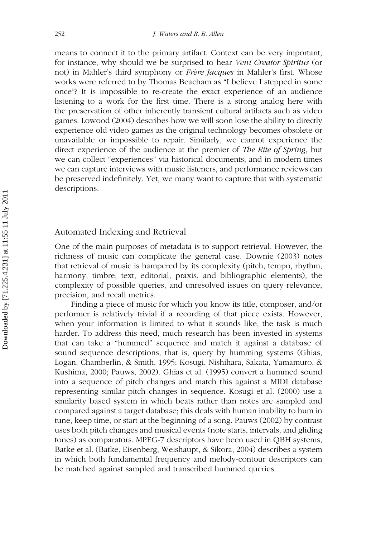means to connect it to the primary artifact. Context can be very important, for instance, why should we be surprised to hear *Veni Creator Spiritus* (or not) in Mahler's third symphony or *Frere Jacques `* in Mahler's first. Whose works were referred to by Thomas Beacham as "I believe I stepped in some once"? It is impossible to re-create the exact experience of an audience listening to a work for the first time. There is a strong analog here with the preservation of other inherently transient cultural artifacts such as video games. Lowood (2004) describes how we will soon lose the ability to directly experience old video games as the original technology becomes obsolete or unavailable or impossible to repair. Similarly, we cannot experience the direct experience of the audience at the premier of *The Rite of Spring*, but we can collect "experiences" via historical documents; and in modern times we can capture interviews with music listeners, and performance reviews can be preserved indefinitely. Yet, we many want to capture that with systematic descriptions.

#### Automated Indexing and Retrieval

One of the main purposes of metadata is to support retrieval. However, the richness of music can complicate the general case. Downie (2003) notes that retrieval of music is hampered by its complexity (pitch, tempo, rhythm, harmony, timbre, text, editorial, praxis, and bibliographic elements), the complexity of possible queries, and unresolved issues on query relevance, precision, and recall metrics.

Finding a piece of music for which you know its title, composer, and/or performer is relatively trivial if a recording of that piece exists. However, when your information is limited to what it sounds like, the task is much harder. To address this need, much research has been invested in systems that can take a "hummed" sequence and match it against a database of sound sequence descriptions, that is, query by humming systems (Ghias, Logan, Chamberlin, & Smith, 1995; Kosugi, Nishihara, Sakata, Yamamuro, & Kushima, 2000; Pauws, 2002). Ghias et al. (1995) convert a hummed sound into a sequence of pitch changes and match this against a MIDI database representing similar pitch changes in sequence. Kosugi et al. (2000) use a similarity based system in which beats rather than notes are sampled and compared against a target database; this deals with human inability to hum in tune, keep time, or start at the beginning of a song. Pauws (2002) by contrast uses both pitch changes and musical events (note starts, intervals, and gliding tones) as comparators. MPEG-7 descriptors have been used in QBH systems, Batke et al. (Batke, Eisenberg, Weishaupt, & Sikora, 2004) describes a system in which both fundamental frequency and melody-contour descriptors can be matched against sampled and transcribed hummed queries.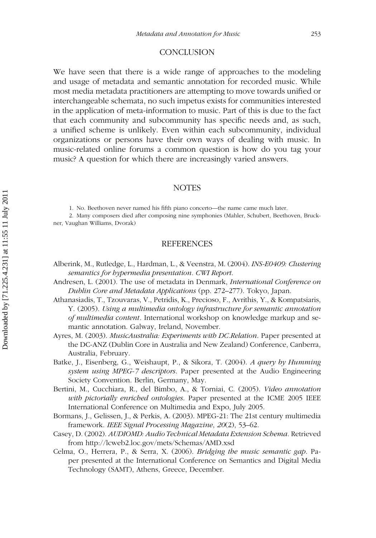#### **CONCLUSION**

We have seen that there is a wide range of approaches to the modeling and usage of metadata and semantic annotation for recorded music. While most media metadata practitioners are attempting to move towards unified or interchangeable schemata, no such impetus exists for communities interested in the application of meta-information to music. Part of this is due to the fact that each community and subcommunity has specific needs and, as such, a unified scheme is unlikely. Even within each subcommunity, individual organizations or persons have their own ways of dealing with music. In music-related online forums a common question is how do you tag your music? A question for which there are increasingly varied answers.

#### **NOTES**

1. No. Beethoven never named his fifth piano concerto—the name came much later.

2. Many composers died after composing nine symphonies (Mahler, Schubert, Beethoven, Bruckner, Vaughan Williams, Dvorak)

#### REFERENCES

- Alberink, M., Rutledge, L., Hardman, L., & Veenstra, M. (2004). *INS-E0409: Clustering semantics for hypermedia presentation. CWI Report*.
- Andresen, L. (2001). The use of metadata in Denmark, *International Conference on Dublin Core and Metadata Applications* (pp. 272–277). Tokyo, Japan.
- Athanasiadis, T., Tzouvaras, V., Petridis, K., Precioso, F., Avrithis, Y., & Kompatsiaris, Y. (2005). *Using a multimedia ontology infrastructure for semantic annotation of multimedia content*. International workshop on knowledge markup and semantic annotation. Galway, Ireland, November.
- Ayres, M. (2003). *MusicAustralia: Experiments with DC.Relation*. Paper presented at the DC-ANZ (Dublin Core in Australia and New Zealand) Conference, Canberra, Australia, February.
- Batke, J., Eisenberg, G., Weishaupt, P., & Sikora, T. (2004). *A query by Humming system using MPEG-7 descriptors*. Paper presented at the Audio Engineering Society Convention. Berlin, Germany, May.
- Bertini, M., Cucchiara, R., del Bimbo, A., & Torniai, C. (2005). *Video annotation with pictorially enriched ontologies*. Paper presented at the ICME 2005 IEEE International Conference on Multimedia and Expo, July 2005.
- Bormans, J., Gelissen, J., & Perkis, A. (2003). MPEG-21: The 21st century multimedia framework. *IEEE Signal Processing Magazine*, *20*(2), 53–62.
- Casey, D. (2002). *AUDIOMD: Audio Technical Metadata Extension Schema*. Retrieved from http://lcweb2.loc.gov/mets/Schemas/AMD.xsd
- Celma, O., Herrera, P., & Serra, X. (2006). *Bridging the music semantic gap*. Paper presented at the International Conference on Semantics and Digital Media Technology (SAMT), Athens, Greece, December.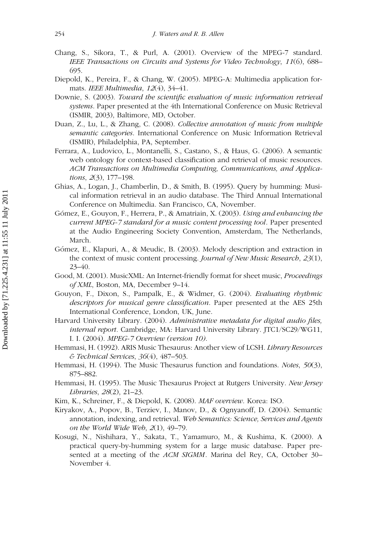- Chang, S., Sikora, T., & Purl, A. (2001). Overview of the MPEG-7 standard. *IEEE Transactions on Circuits and Systems for Video Technology*, *11*(6), 688– 695.
- Diepold, K., Pereira, F., & Chang, W. (2005). MPEG-A: Multimedia application formats. *IEEE Multimedia*, *12*(4), 34–41.
- Downie, S. (2003). *Toward the scientific evaluation of music information retrieval systems*. Paper presented at the 4th International Conference on Music Retrieval (ISMIR, 2003), Baltimore, MD, October.
- Duan, Z., Lu, L., & Zhang, C. (2008). *Collective annotation of music from multiple semantic categories*. International Conference on Music Information Retrieval (ISMIR), Philadelphia, PA, September.
- Ferrara, A., Ludovico, L., Montanelli, S., Castano, S., & Haus, G. (2006). A semantic web ontology for context-based classification and retrieval of music resources. *ACM Transactions on Multimedia Computing, Communications, and Applications*, *2*(3), 177–198.
- Ghias, A., Logan, J., Chamberlin, D., & Smith, B. (1995). Query by humming: Musical information retrieval in an audio database. The Third Annual International Conference on Multimedia. San Francisco, CA, November.
- Gómez, E., Gouyon, F., Herrera, P., & Amatriain, X. (2003). *Using and enhancing the current MPEG-7 standard for a music content processing tool*. Paper presented at the Audio Engineering Society Convention, Amsterdam, The Netherlands, March.
- Gómez, E., Klapuri, A., & Meudic, B. (2003). Melody description and extraction in the context of music content processing. *Journal of New Music Research*, *23*(1),  $23 - 40.$
- Good, M. (2001). MusicXML: An Internet-friendly format for sheet music, *Proceedings of XML*, Boston, MA, December 9–14.
- Gouyon, F., Dixon, S., Pampalk, E., & Widmer, G. (2004). *Evaluating rhythmic descriptors for musical genre classification*. Paper presented at the AES 25th International Conference, London, UK, June.
- Harvard University Library. (2004). *Administrative metadata for digital audio files, internal report.* Cambridge, MA: Harvard University Library. JTC1/SC29/WG11, I. I. (2004). *MPEG-7 Overview (version 10)*.
- Hemmasi, H. (1992). ARIS Music Thesaurus: Another view of LCSH. *Library Resources & Technical Services*, *36*(4), 487–503.
- Hemmasi, H. (1994). The Music Thesaurus function and foundations. *Notes*, *50*(3), 875–882.
- Hemmasi, H. (1995). The Music Thesaurus Project at Rutgers University. *New Jersey Libraries*, *28*(2), 21–23.
- Kim, K., Schreiner, F., & Diepold, K. (2008). *MAF overview*. Korea: ISO.
- Kiryakov, A., Popov, B., Terziev, I., Manov, D., & Ognyanoff, D. (2004). Semantic annotation, indexing, and retrieval. *Web Semantics: Science, Services and Agents on the World Wide Web*, *2*(1), 49–79.
- Kosugi, N., Nishihara, Y., Sakata, T., Yamamuro, M., & Kushima, K. (2000). A practical query-by-humming system for a large music database. Paper presented at a meeting of the *ACM SIGMM*. Marina del Rey, CA, October 30– November 4.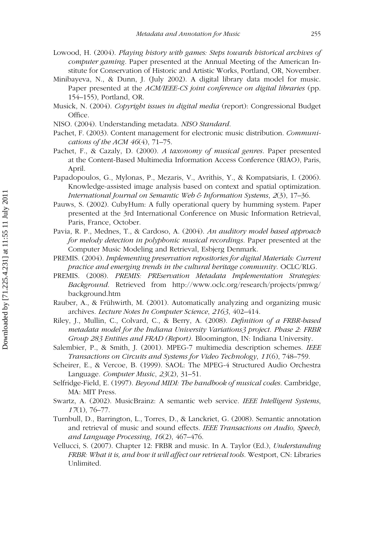- Lowood, H. (2004). *Playing history with games: Steps towards historical archives of computer gaming*. Paper presented at the Annual Meeting of the American Institute for Conservation of Historic and Artistic Works, Portland, OR, November.
- Minibayeva, N., & Dunn, J. (July 2002). A digital library data model for music. Paper presented at the *ACM/IEEE-CS joint conference on digital libraries* (pp. 154–155), Portland, OR.
- Musick, N. (2004). *Copyright issues in digital media* (report): Congressional Budget Office.
- NISO. (2004). Understanding metadata. *NISO Standard*.
- Pachet, F. (2003). Content management for electronic music distribution. *Communications of the ACM 46*(4), 71–75.
- Pachet, F., & Cazaly, D. (2000). *A taxonomy of musical genres*. Paper presented at the Content-Based Multimedia Information Access Conference (RIAO), Paris, April.
- Papadopoulos, G., Mylonas, P., Mezaris, V., Avrithis, Y., & Kompatsiaris, I. (2006). Knowledge-assisted image analysis based on context and spatial optimization. *International Journal on Semantic Web & Information Systems*, *2*(3), 17–36.
- Pauws, S. (2002). CubyHum: A fully operational query by humming system. Paper presented at the 3rd International Conference on Music Information Retrieval, Paris, France, October.
- Pavia, R. P., Mednes, T., & Cardoso, A. (2004). *An auditory model based approach for melody detection in polyphonic musical recordings*. Paper presented at the Computer Music Modeling and Retrieval, Esbjerg Denmark.
- PREMIS. (2004). *Implementing preservation repositories for digital Materials: Current practice and emerging trends in the cultural heritage community*. OCLC/RLG.
- PREMIS. (2008). *PREMIS: PREservation Metadata Implementation Strategies: Background*. Retrieved from http://www.oclc.org/research/projects/pmwg/ background.htm
- Rauber, A., & Frühwirth, M. (2001). Automatically analyzing and organizing music archives. *Lecture Notes In Computer Science*, *2163*, 402–414.
- Riley, J., Mullin, C., Colvard, C., & Berry, A. (2008). *Definition of a FRBR-based metadata model for the Indiana University Variations3 project*. *Phase 2: FRBR Group 283 Entities and FRAD (Report)*. Bloomington, IN: Indiana University.
- Salembier, P., & Smith, J. (2001). MPEG-7 multimedia description schemes. *IEEE Transactions on Circuits and Systems for Video Technology*, *11*(6), 748–759.
- Scheirer, E., & Vercoe, B. (1999). SAOL: The MPEG-4 Structured Audio Orchestra Language. *Computer Music*, *23*(2), 31–51.
- Selfridge-Field, E. (1997). *Beyond MIDI: The handbook of musical codes*. Cambridge, MA: MIT Press.
- Swartz, A. (2002). MusicBrainz: A semantic web service. *IEEE Intelligent Systems*, *17*(1), 76–77.
- Turnbull, D., Barrington, L., Torres, D., & Lanckriet, G. (2008). Semantic annotation and retrieval of music and sound effects. *IEEE Transactions on Audio, Speech, and Language Processing*, *16*(2), 467–476.
- Vellucci, S. (2007). Chapter 12: FRBR and music. In A. Taylor (Ed.), *Understanding FRBR: What it is, and how it will affect our retrieval tools*. Westport, CN: Libraries Unlimited.